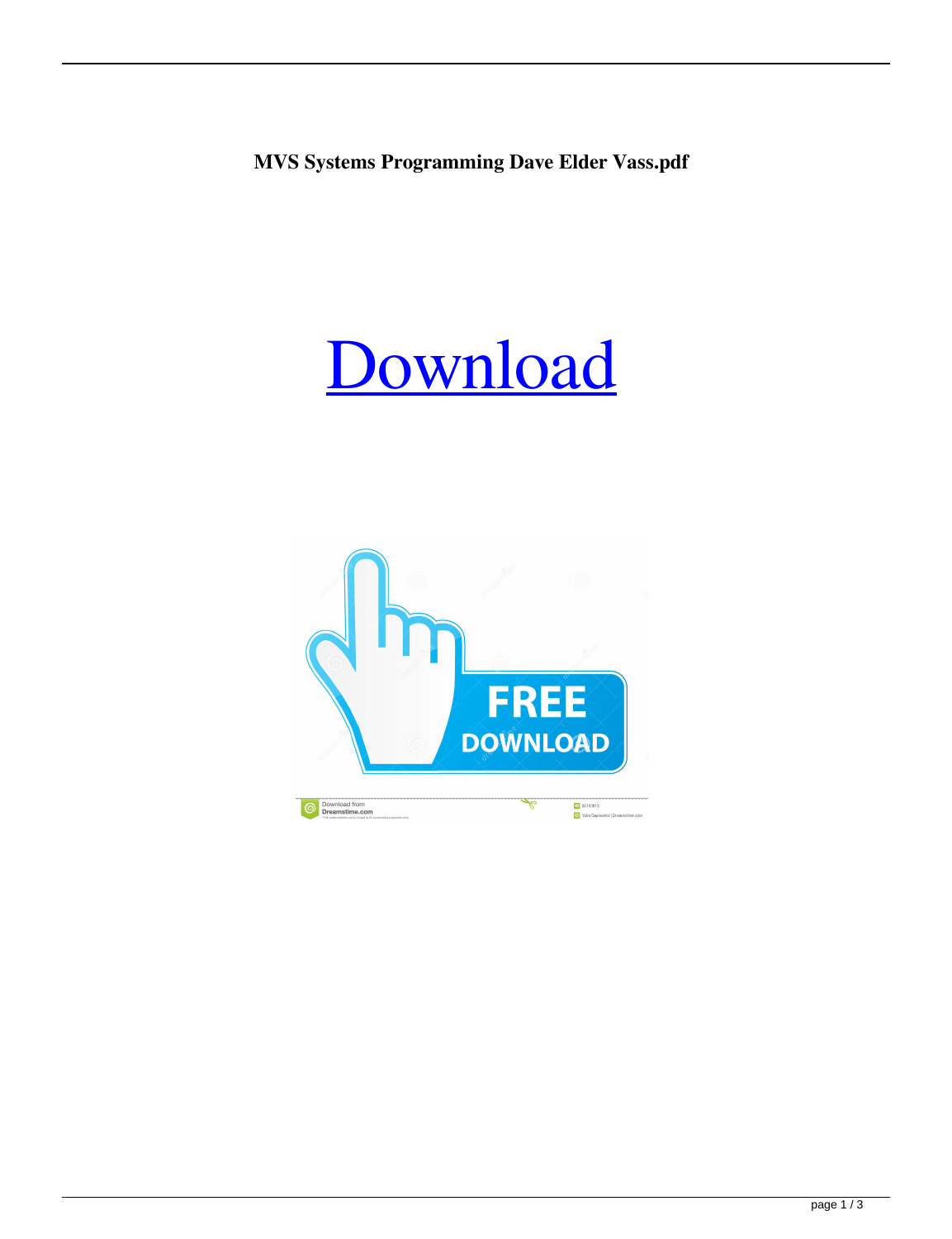**MVS Systems Programming Dave Elder Vass.pdf**

## [Download](http://evacdir.com/bootie/doms.claimant?suceed=&ZG93bmxvYWR8OXRxYkdnd2ZId3hOalV5TnpRd09EWTJmSHd5TlRjMGZId29UU2tnY21WaFpDMWliRzluSUZ0R1lYTjBJRWRGVGww=sumerians&TVZTIFN5c3RlbXMgUHJvZ3JhbW1pbmcgRGF2ZSBFbGRlciBWYXNzLnBkZgTVZ=unleavened)

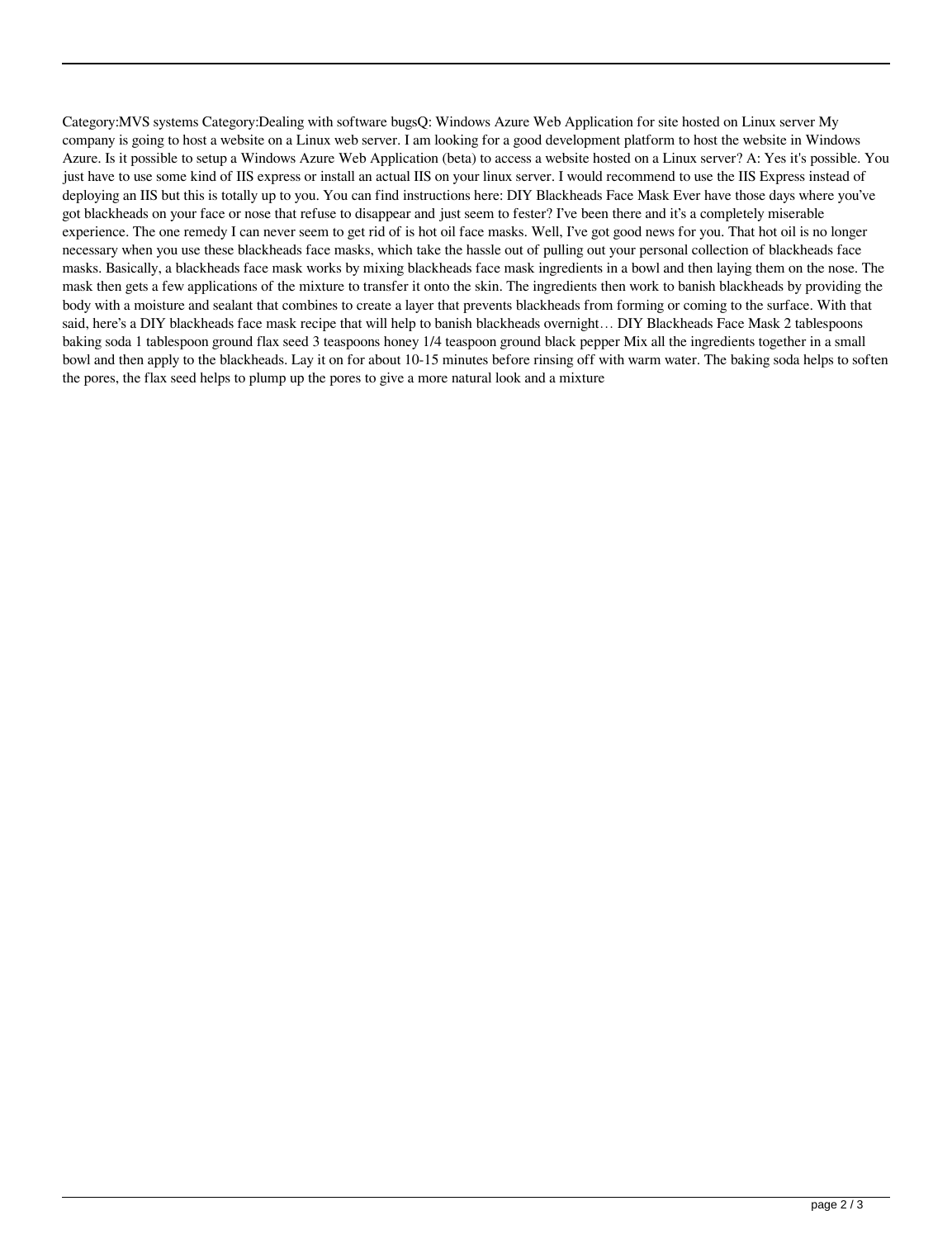Category:MVS systems Category:Dealing with software bugsQ: Windows Azure Web Application for site hosted on Linux server My company is going to host a website on a Linux web server. I am looking for a good development platform to host the website in Windows Azure. Is it possible to setup a Windows Azure Web Application (beta) to access a website hosted on a Linux server? A: Yes it's possible. You just have to use some kind of IIS express or install an actual IIS on your linux server. I would recommend to use the IIS Express instead of deploying an IIS but this is totally up to you. You can find instructions here: DIY Blackheads Face Mask Ever have those days where you've got blackheads on your face or nose that refuse to disappear and just seem to fester? I've been there and it's a completely miserable experience. The one remedy I can never seem to get rid of is hot oil face masks. Well, I've got good news for you. That hot oil is no longer necessary when you use these blackheads face masks, which take the hassle out of pulling out your personal collection of blackheads face masks. Basically, a blackheads face mask works by mixing blackheads face mask ingredients in a bowl and then laying them on the nose. The mask then gets a few applications of the mixture to transfer it onto the skin. The ingredients then work to banish blackheads by providing the body with a moisture and sealant that combines to create a layer that prevents blackheads from forming or coming to the surface. With that said, here's a DIY blackheads face mask recipe that will help to banish blackheads overnight... DIY Blackheads Face Mask 2 tablespoons baking soda 1 tablespoon ground flax seed 3 teaspoons honey 1/4 teaspoon ground black pepper Mix all the ingredients together in a small bowl and then apply to the blackheads. Lay it on for about 10-15 minutes before rinsing off with warm water. The baking soda helps to soften the pores, the flax seed helps to plump up the pores to give a more natural look and a mixture